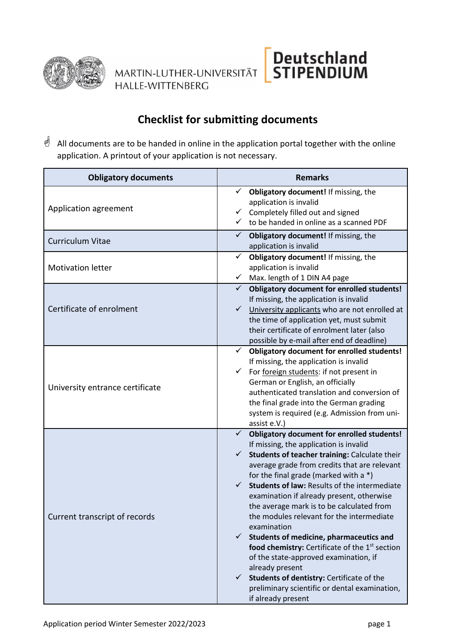

MARTIN-LUTHER-UNIVERSITÄT **HALLE-WITTENBERG** 

## **Checklist for submitting documents**

Deutschland<br>STIPENDIUM

All documents are to be handed in online in the application portal together with the online application. A printout of your application is not necessary.

| <b>Obligatory documents</b>     | <b>Remarks</b>                                                                                                                                                                                                                                                                                                                                                                                                                                                                                                                                                                                                                                                                                                                                                                                  |
|---------------------------------|-------------------------------------------------------------------------------------------------------------------------------------------------------------------------------------------------------------------------------------------------------------------------------------------------------------------------------------------------------------------------------------------------------------------------------------------------------------------------------------------------------------------------------------------------------------------------------------------------------------------------------------------------------------------------------------------------------------------------------------------------------------------------------------------------|
| Application agreement           | Obligatory document! If missing, the<br>application is invalid<br>Completely filled out and signed<br>✓<br>to be handed in online as a scanned PDF                                                                                                                                                                                                                                                                                                                                                                                                                                                                                                                                                                                                                                              |
| <b>Curriculum Vitae</b>         | Obligatory document! If missing, the<br>✓<br>application is invalid                                                                                                                                                                                                                                                                                                                                                                                                                                                                                                                                                                                                                                                                                                                             |
| <b>Motivation letter</b>        | Obligatory document! If missing, the<br>✓<br>application is invalid<br>Max. length of 1 DIN A4 page<br>$\checkmark$                                                                                                                                                                                                                                                                                                                                                                                                                                                                                                                                                                                                                                                                             |
| Certificate of enrolment        | $\checkmark$ Obligatory document for enrolled students!<br>If missing, the application is invalid<br>$\checkmark$ University applicants who are not enrolled at<br>the time of application yet, must submit<br>their certificate of enrolment later (also<br>possible by e-mail after end of deadline)                                                                                                                                                                                                                                                                                                                                                                                                                                                                                          |
| University entrance certificate | $\checkmark$<br><b>Obligatory document for enrolled students!</b><br>If missing, the application is invalid<br>$\checkmark$<br>For foreign students: if not present in<br>German or English, an officially<br>authenticated translation and conversion of<br>the final grade into the German grading<br>system is required (e.g. Admission from uni-<br>assist e.V.)                                                                                                                                                                                                                                                                                                                                                                                                                            |
| Current transcript of records   | $\checkmark$ Obligatory document for enrolled students!<br>If missing, the application is invalid<br>$\checkmark$<br>Students of teacher training: Calculate their<br>average grade from credits that are relevant<br>for the final grade (marked with a *)<br>Students of law: Results of the intermediate<br>$\checkmark$<br>examination if already present, otherwise<br>the average mark is to be calculated from<br>the modules relevant for the intermediate<br>examination<br>Students of medicine, pharmaceutics and<br>$\checkmark$<br>food chemistry: Certificate of the 1 <sup>st</sup> section<br>of the state-approved examination, if<br>already present<br>Students of dentistry: Certificate of the<br>✓<br>preliminary scientific or dental examination,<br>if already present |